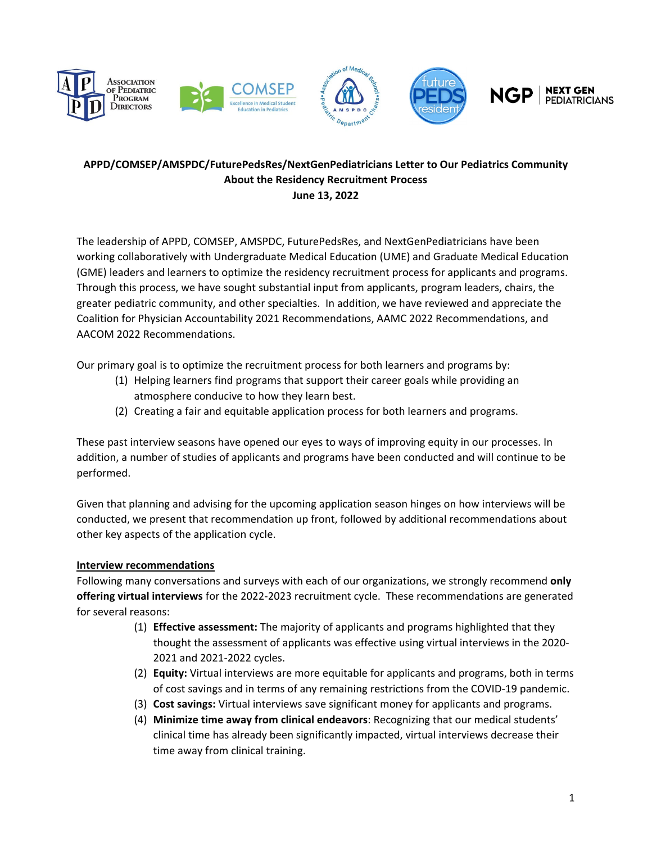







# **APPD/COMSEP/AMSPDC/FuturePedsRes/NextGenPediatricians Letter to Our Pediatrics Community About the Residency Recruitment Process June 13, 2022**

The leadership of APPD, COMSEP, AMSPDC, FuturePedsRes, and NextGenPediatricians have been working collaboratively with Undergraduate Medical Education (UME) and Graduate Medical Education (GME) leaders and learners to optimize the residency recruitment process for applicants and programs. Through this process, we have sought substantial input from applicants, program leaders, chairs, the greater pediatric community, and other specialties. In addition, we have reviewed and appreciate the Coalition for Physician Accountability 2021 Recommendations, AAMC 2022 Recommendations, and AACOM 2022 Recommendations.

Our primary goal is to optimize the recruitment process for both learners and programs by:

- (1) Helping learners find programs that support their career goals while providing an atmosphere conducive to how they learn best.
- (2) Creating a fair and equitable application process for both learners and programs.

These past interview seasons have opened our eyes to ways of improving equity in our processes. In addition, a number of studies of applicants and programs have been conducted and will continue to be performed.

Given that planning and advising for the upcoming application season hinges on how interviews will be conducted, we present that recommendation up front, followed by additional recommendations about other key aspects of the application cycle.

## **Interview recommendations**

Following many conversations and surveys with each of our organizations, we strongly recommend **only offering virtual interviews** for the 2022‐2023 recruitment cycle. These recommendations are generated for several reasons:

- (1) **Effective assessment:** The majority of applicants and programs highlighted that they thought the assessment of applicants was effective using virtual interviews in the 2020‐ 2021 and 2021‐2022 cycles.
- (2) **Equity:** Virtual interviews are more equitable for applicants and programs, both in terms of cost savings and in terms of any remaining restrictions from the COVID‐19 pandemic.
- (3) **Cost savings:** Virtual interviews save significant money for applicants and programs.
- (4) **Minimize time away from clinical endeavors**: Recognizing that our medical students' clinical time has already been significantly impacted, virtual interviews decrease their time away from clinical training.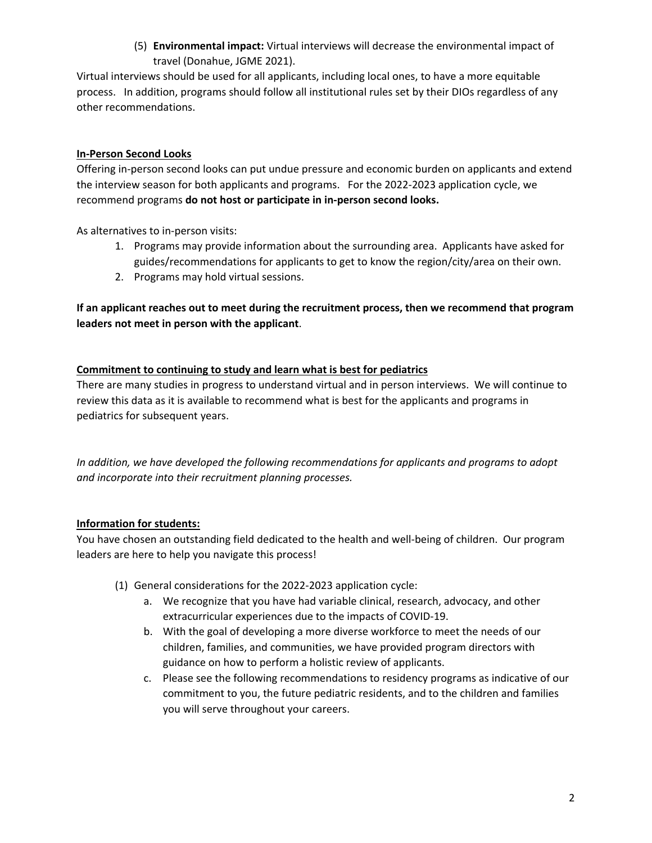(5) **Environmental impact:** Virtual interviews will decrease the environmental impact of travel (Donahue, JGME 2021).

Virtual interviews should be used for all applicants, including local ones, to have a more equitable process. In addition, programs should follow all institutional rules set by their DIOs regardless of any other recommendations.

## **In‐Person Second Looks**

Offering in‐person second looks can put undue pressure and economic burden on applicants and extend the interview season for both applicants and programs. For the 2022-2023 application cycle, we recommend programs **do not host or participate in in‐person second looks.**

As alternatives to in‐person visits:

- 1. Programs may provide information about the surrounding area. Applicants have asked for guides/recommendations for applicants to get to know the region/city/area on their own.
- 2. Programs may hold virtual sessions.

**If an applicant reaches out to meet during the recruitment process, then we recommend that program leaders not meet in person with the applicant**.

### **Commitment to continuing to study and learn what is best for pediatrics**

There are many studies in progress to understand virtual and in person interviews. We will continue to review this data as it is available to recommend what is best for the applicants and programs in pediatrics for subsequent years.

*In addition, we have developed the following recommendations for applicants and programs to adopt and incorporate into their recruitment planning processes.* 

## **Information for students:**

You have chosen an outstanding field dedicated to the health and well-being of children. Our program leaders are here to help you navigate this process!

- (1) General considerations for the 2022‐2023 application cycle:
	- a. We recognize that you have had variable clinical, research, advocacy, and other extracurricular experiences due to the impacts of COVID‐19.
	- b. With the goal of developing a more diverse workforce to meet the needs of our children, families, and communities, we have provided program directors with guidance on how to perform a holistic review of applicants.
	- c. Please see the following recommendations to residency programs as indicative of our commitment to you, the future pediatric residents, and to the children and families you will serve throughout your careers.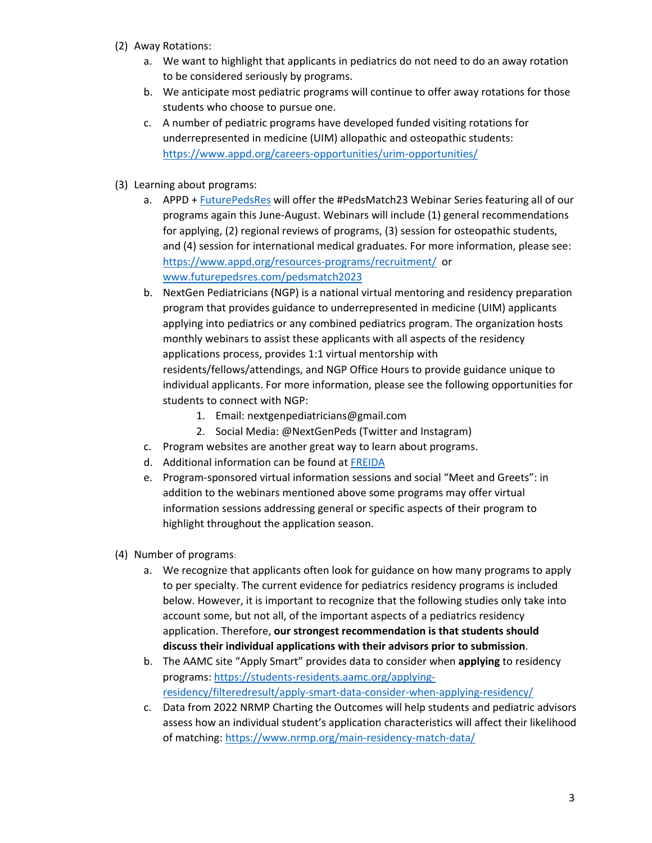- (2) Away Rotations:
	- a. We want to highlight that applicants in pediatrics do not need to do an away rotation to be considered seriously by programs.
	- b. We anticipate most pediatric programs will continue to offer away rotations for those students who choose to pursue one.
	- c. A number of pediatric programs have developed funded visiting rotations for underrepresented in medicine (UIM) allopathic and osteopathic students: https://www.appd.org/careers‐opportunities/urim‐opportunities/
- (3) Learning about programs:
	- a. APPD + FuturePedsRes will offer the #PedsMatch23 Webinar Series featuring all of our programs again this June‐August. Webinars will include (1) general recommendations for applying, (2) regional reviews of programs, (3) session for osteopathic students, and (4) session for international medical graduates. For more information, please see: https://www.appd.org/resources‐programs/recruitment/ or www.futurepedsres.com/pedsmatch2023
	- b. NextGen Pediatricians (NGP) is a national virtual mentoring and residency preparation program that provides guidance to underrepresented in medicine (UIM) applicants applying into pediatrics or any combined pediatrics program. The organization hosts monthly webinars to assist these applicants with all aspects of the residency applications process, provides 1:1 virtual mentorship with residents/fellows/attendings, and NGP Office Hours to provide guidance unique to individual applicants. For more information, please see the following opportunities for students to connect with NGP:
		- 1. Email: nextgenpediatricians@gmail.com
		- 2. Social Media: @NextGenPeds (Twitter and Instagram)
	- c. Program websites are another great way to learn about programs.
	- d. Additional information can be found at FREIDA
	- e. Program‐sponsored virtual information sessions and social "Meet and Greets": in addition to the webinars mentioned above some programs may offer virtual information sessions addressing general or specific aspects of their program to highlight throughout the application season.
- (4) Number of programs:
	- a. We recognize that applicants often look for guidance on how many programs to apply to per specialty. The current evidence for pediatrics residency programs is included below. However, it is important to recognize that the following studies only take into account some, but not all, of the important aspects of a pediatrics residency application. Therefore, **our strongest recommendation is that students should discuss their individual applications with their advisors prior to submission**.
	- b. The AAMC site "Apply Smart" provides data to consider when **applying** to residency programs: https://students‐residents.aamc.org/applying‐ residency/filteredresult/apply‐smart‐data‐consider‐when‐applying‐residency/
	- c. Data from 2022 NRMP Charting the Outcomes will help students and pediatric advisors assess how an individual student's application characteristics will affect their likelihood of matching: https://www.nrmp.org/main‐residency‐match‐data/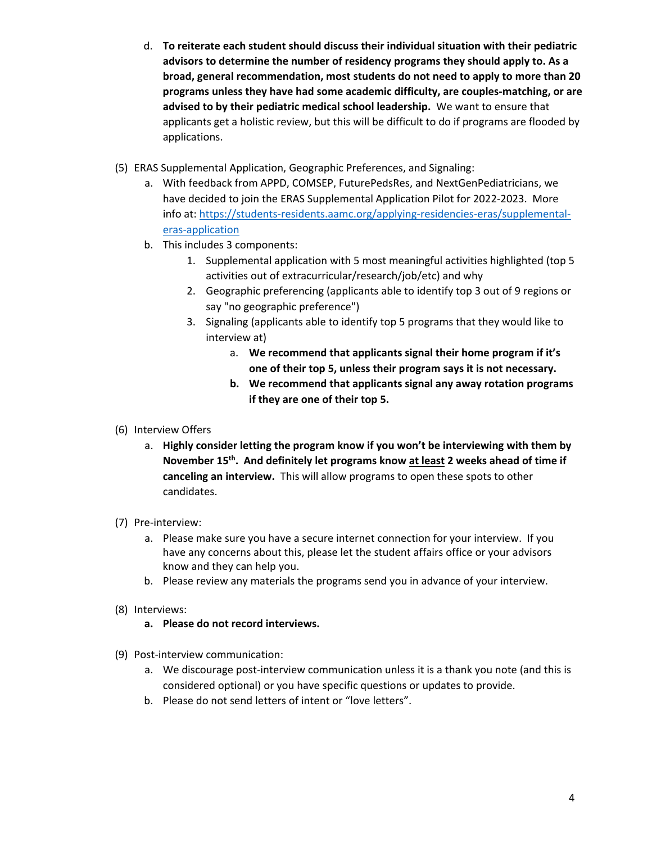- d. **To reiterate each student should discuss their individual situation with their pediatric advisors to determine the number of residency programs they should apply to. As a broad, general recommendation, most students do not need to apply to more than 20 programs unless they have had some academic difficulty, are couples‐matching, or are advised to by their pediatric medical school leadership.** We want to ensure that applicants get a holistic review, but this will be difficult to do if programs are flooded by applications.
- (5) ERAS Supplemental Application, Geographic Preferences, and Signaling:
	- a. With feedback from APPD, COMSEP, FuturePedsRes, and NextGenPediatricians, we have decided to join the ERAS Supplemental Application Pilot for 2022-2023. More info at: https://students-residents.aamc.org/applying-residencies-eras/supplementaleras‐application
	- b. This includes 3 components:
		- 1. Supplemental application with 5 most meaningful activities highlighted (top 5 activities out of extracurricular/research/job/etc) and why
		- 2. Geographic preferencing (applicants able to identify top 3 out of 9 regions or say "no geographic preference")
		- 3. Signaling (applicants able to identify top 5 programs that they would like to interview at)
			- a. **We recommend that applicants signal their home program if it's one of their top 5, unless their program says it is not necessary.**
			- **b. We recommend that applicants signal any away rotation programs if they are one of their top 5.**
- (6) Interview Offers
	- a. **Highly consider letting the program know if you won't be interviewing with them by November 15th. And definitely let programs know at least 2 weeks ahead of time if canceling an interview.** This will allow programs to open these spots to other candidates.
- (7) Pre‐interview:
	- a. Please make sure you have a secure internet connection for your interview. If you have any concerns about this, please let the student affairs office or your advisors know and they can help you.
	- b. Please review any materials the programs send you in advance of your interview.
- (8) Interviews:
	- **a. Please do not record interviews.**
- (9) Post‐interview communication:
	- a. We discourage post-interview communication unless it is a thank you note (and this is considered optional) or you have specific questions or updates to provide.
	- b. Please do not send letters of intent or "love letters".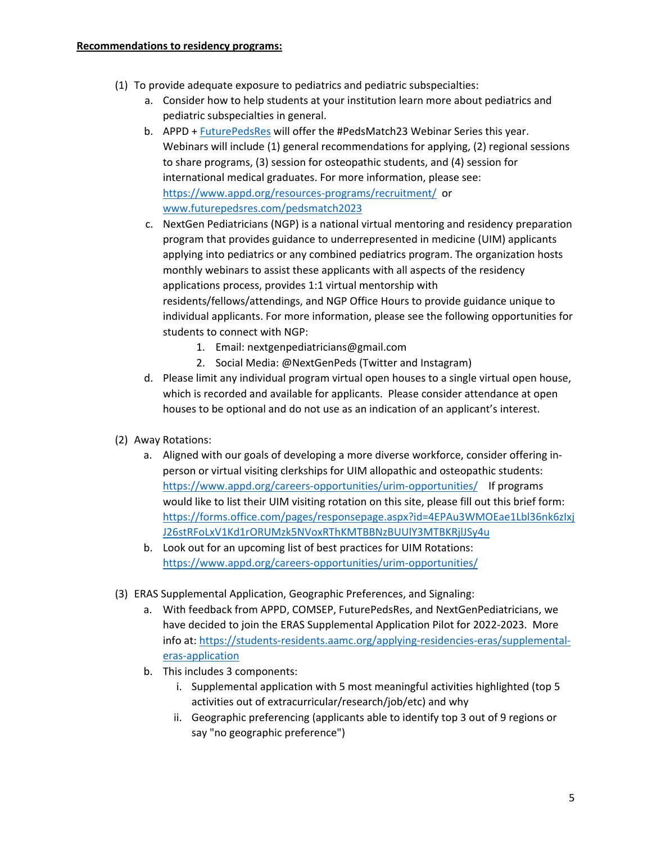- (1) To provide adequate exposure to pediatrics and pediatric subspecialties:
	- a. Consider how to help students at your institution learn more about pediatrics and pediatric subspecialties in general.
	- b. APPD + FuturePedsRes will offer the #PedsMatch23 Webinar Series this year. Webinars will include (1) general recommendations for applying, (2) regional sessions to share programs, (3) session for osteopathic students, and (4) session for international medical graduates. For more information, please see: https://www.appd.org/resources‐programs/recruitment/ or www.futurepedsres.com/pedsmatch2023
	- c. NextGen Pediatricians (NGP) is a national virtual mentoring and residency preparation program that provides guidance to underrepresented in medicine (UIM) applicants applying into pediatrics or any combined pediatrics program. The organization hosts monthly webinars to assist these applicants with all aspects of the residency applications process, provides 1:1 virtual mentorship with residents/fellows/attendings, and NGP Office Hours to provide guidance unique to individual applicants. For more information, please see the following opportunities for students to connect with NGP:
		- 1. Email: nextgenpediatricians@gmail.com
		- 2. Social Media: @NextGenPeds (Twitter and Instagram)
	- d. Please limit any individual program virtual open houses to a single virtual open house, which is recorded and available for applicants. Please consider attendance at open houses to be optional and do not use as an indication of an applicant's interest.
- (2) Away Rotations:
	- a. Aligned with our goals of developing a more diverse workforce, consider offering in‐ person or virtual visiting clerkships for UIM allopathic and osteopathic students: https://www.appd.org/careers-opportunities/urim-opportunities/ If programs would like to list their UIM visiting rotation on this site, please fill out this brief form: https://forms.office.com/pages/responsepage.aspx?id=4EPAu3WMOEae1Lbl36nk6zIxj J26stRFoLxV1Kd1rORUMzk5NVoxRThKMTBBNzBUUlY3MTBKRjlJSy4u
	- b. Look out for an upcoming list of best practices for UIM Rotations: https://www.appd.org/careers‐opportunities/urim‐opportunities/
- (3) ERAS Supplemental Application, Geographic Preferences, and Signaling:
	- a. With feedback from APPD, COMSEP, FuturePedsRes, and NextGenPediatricians, we have decided to join the ERAS Supplemental Application Pilot for 2022-2023. More info at: https://students-residents.aamc.org/applying-residencies-eras/supplementaleras‐application
	- b. This includes 3 components:
		- i. Supplemental application with 5 most meaningful activities highlighted (top 5 activities out of extracurricular/research/job/etc) and why
		- ii. Geographic preferencing (applicants able to identify top 3 out of 9 regions or say "no geographic preference")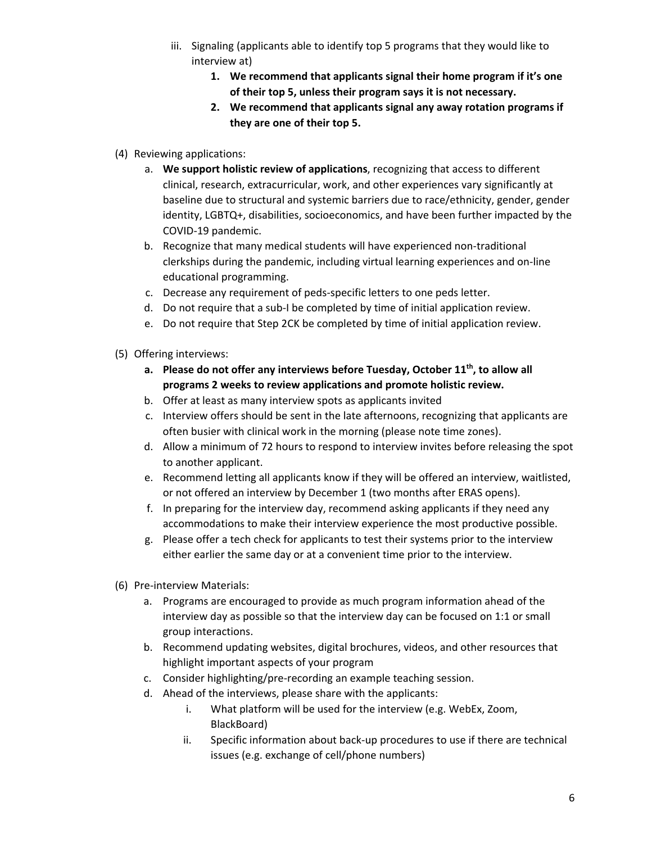- iii. Signaling (applicants able to identify top 5 programs that they would like to interview at)
	- **1. We recommend that applicants signal their home program if it's one of their top 5, unless their program says it is not necessary.**
	- **2. We recommend that applicants signal any away rotation programs if they are one of their top 5.**
- (4) Reviewing applications:
	- a. **We support holistic review of applications**, recognizing that access to different clinical, research, extracurricular, work, and other experiences vary significantly at baseline due to structural and systemic barriers due to race/ethnicity, gender, gender identity, LGBTQ+, disabilities, socioeconomics, and have been further impacted by the COVID‐19 pandemic.
	- b. Recognize that many medical students will have experienced non-traditional clerkships during the pandemic, including virtual learning experiences and on‐line educational programming.
	- c. Decrease any requirement of peds‐specific letters to one peds letter.
	- d. Do not require that a sub‐I be completed by time of initial application review.
	- e. Do not require that Step 2CK be completed by time of initial application review.
- (5) Offering interviews:
	- **a. Please do not offer any interviews before Tuesday, October 11th, to allow all programs 2 weeks to review applications and promote holistic review.**
	- b. Offer at least as many interview spots as applicants invited
	- c. Interview offers should be sent in the late afternoons, recognizing that applicants are often busier with clinical work in the morning (please note time zones).
	- d. Allow a minimum of 72 hours to respond to interview invites before releasing the spot to another applicant.
	- e. Recommend letting all applicants know if they will be offered an interview, waitlisted, or not offered an interview by December 1 (two months after ERAS opens).
	- f. In preparing for the interview day, recommend asking applicants if they need any accommodations to make their interview experience the most productive possible.
	- g. Please offer a tech check for applicants to test their systems prior to the interview either earlier the same day or at a convenient time prior to the interview.
- (6) Pre‐interview Materials:
	- a. Programs are encouraged to provide as much program information ahead of the interview day as possible so that the interview day can be focused on 1:1 or small group interactions.
	- b. Recommend updating websites, digital brochures, videos, and other resources that highlight important aspects of your program
	- c. Consider highlighting/pre‐recording an example teaching session.
	- d. Ahead of the interviews, please share with the applicants:
		- i. What platform will be used for the interview (e.g. WebEx, Zoom, BlackBoard)
		- ii. Specific information about back‐up procedures to use if there are technical issues (e.g. exchange of cell/phone numbers)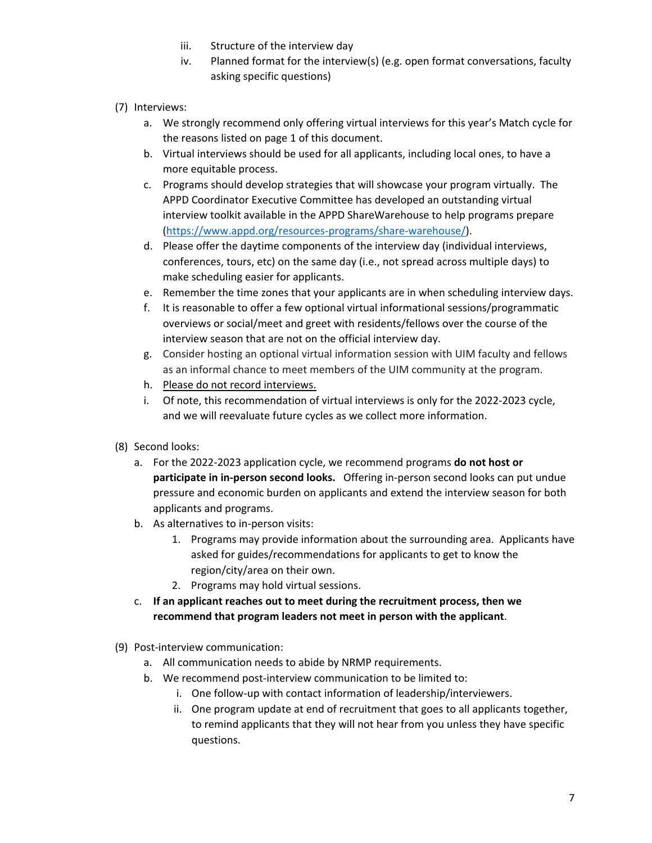- iii. Structure of the interview day
- iv. Planned format for the interview(s) (e.g. open format conversations, faculty asking specific questions)
- (7) Interviews:
	- a. We strongly recommend only offering virtual interviews for this year's Match cycle for the reasons listed on page 1 of this document.
	- b. Virtual interviews should be used for all applicants, including local ones, to have a more equitable process.
	- c. Programs should develop strategies that will showcase your program virtually. The APPD Coordinator Executive Committee has developed an outstanding virtual interview toolkit available in the APPD ShareWarehouse to help programs prepare (https://www.appd.org/resources‐programs/share‐warehouse/).
	- d. Please offer the daytime components of the interview day (individual interviews, conferences, tours, etc) on the same day (i.e., not spread across multiple days) to make scheduling easier for applicants.
	- e. Remember the time zones that your applicants are in when scheduling interview days.
	- f. It is reasonable to offer a few optional virtual informational sessions/programmatic overviews or social/meet and greet with residents/fellows over the course of the interview season that are not on the official interview day.
	- g. Consider hosting an optional virtual information session with UIM faculty and fellows as an informal chance to meet members of the UIM community at the program.
	- h. Please do not record interviews.
	- i. Of note, this recommendation of virtual interviews is only for the 2022-2023 cycle, and we will reevaluate future cycles as we collect more information.
- (8) Second looks:
	- a. For the 2022‐2023 application cycle, we recommend programs **do not host or participate in in‐person second looks.** Offering in‐person second looks can put undue pressure and economic burden on applicants and extend the interview season for both applicants and programs.
	- b. As alternatives to in‐person visits:
		- 1. Programs may provide information about the surrounding area. Applicants have asked for guides/recommendations for applicants to get to know the region/city/area on their own.
		- 2. Programs may hold virtual sessions.
	- c. **If an applicant reaches out to meet during the recruitment process, then we recommend that program leaders not meet in person with the applicant**.
- (9) Post‐interview communication:
	- a. All communication needs to abide by NRMP requirements.
	- b. We recommend post-interview communication to be limited to:
		- i. One follow-up with contact information of leadership/interviewers.
		- ii. One program update at end of recruitment that goes to all applicants together, to remind applicants that they will not hear from you unless they have specific questions.